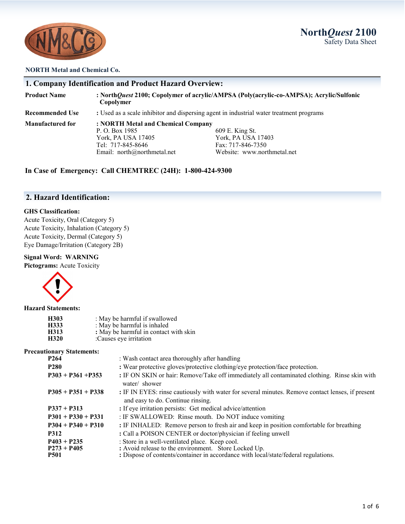**North***Quest* **2100** Safety Data Sheet



#### **NORTH Metal and Chemical Co.**

|                        | 1. Company Identification and Product Hazard Overview:                                                                       |                                                                                           |
|------------------------|------------------------------------------------------------------------------------------------------------------------------|-------------------------------------------------------------------------------------------|
| <b>Product Name</b>    | Copolymer                                                                                                                    | : NorthQuest 2100; Copolymer of acrylic/AMPSA (Poly(acrylic-co-AMPSA); Acrylic/Sulfonic   |
| <b>Recommended Use</b> | : Used as a scale inhibitor and dispersing agent in industrial water treatment programs                                      |                                                                                           |
| Manufactured for       | : NORTH Metal and Chemical Company<br>P. O. Box 1985<br>York, PA USA 17405<br>Tel: 717-845-8646<br>Email: $north@normal.net$ | 609 E. King St.<br>York, PA USA 17403<br>Fax: 717-846-7350<br>Website: www.northmetal.net |

**In Case of Emergency: Call CHEMTREC (24H): 1-800-424-9300**

# **2. Hazard Identification:**

#### **GHS Classification:**

Acute Toxicity, Oral (Category 5) Acute Toxicity, Inhalation (Category 5) Acute Toxicity, Dermal (Category 5) Eye Damage/Irritation (Category 2B)

#### **Signal Word: WARNING**

**Pictograms:** Acute Toxicity



#### **Hazard Statements:**

| H303 | : May be harmful if swallowed         |
|------|---------------------------------------|
| H333 | : May be harmful is inhaled           |
| H313 | : May be harmful in contact with skin |
| H320 | :Causes eye irritation                |

### **Precautionary Statements:**

| онаі у мацінснім.                             |                                                                                                                                                                                               |  |
|-----------------------------------------------|-----------------------------------------------------------------------------------------------------------------------------------------------------------------------------------------------|--|
| P <sub>264</sub>                              | : Wash contact area thoroughly after handling                                                                                                                                                 |  |
| <b>P280</b>                                   | : Wear protective gloves/protective clothing/eye protection/face protection.                                                                                                                  |  |
| $P303 + P361 + P353$                          | : IF ON SKIN or hair: Remove/Take off immediately all contaminated clothing. Rinse skin with<br>water/ shower                                                                                 |  |
| $P305 + P351 + P338$                          | : IF IN EYES: rinse cautiously with water for several minutes. Remove contact lenses, if present<br>and easy to do. Continue rinsing.                                                         |  |
| $P337 + P313$                                 | : If eye irritation persists: Get medical advice/attention                                                                                                                                    |  |
| $P301 + P330 + P331$                          | : IF SWALLOWED: Rinse mouth. Do NOT induce vomiting                                                                                                                                           |  |
| $P304 + P340 + P310$                          | : IF INHALED: Remove person to fresh air and keep in position comfortable for breathing                                                                                                       |  |
| <b>P312</b>                                   | : Call a POISON CENTER or doctor/physician if feeling unwell                                                                                                                                  |  |
| $P403 + P235$<br>$P273 + P405$<br><b>P501</b> | : Store in a well-ventilated place. Keep cool.<br>: Avoid release to the environment. Store Locked Up.<br>: Dispose of contents/container in accordance with local/state/federal regulations. |  |
|                                               |                                                                                                                                                                                               |  |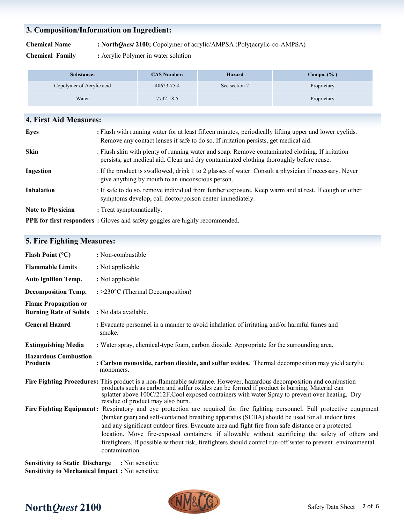# **3. Composition/Information on Ingredient:**

**Chemical Name : North***Quest* **2100;** Copolymer of acrylic/AMPSA (Poly(acrylic-co-AMPSA)

**Chemical Family :** Acrylic Polymer in water solution

| Substance:                | <b>CAS Number:</b> | Hazard                   | Compo. $(\% )$ |
|---------------------------|--------------------|--------------------------|----------------|
| Copolymer of Acrylic acid | $40623 - 75 - 4$   | See section 2            | Proprietary    |
| Water                     | 7732-18-5          | $\overline{\phantom{a}}$ | Proprietary    |

| <b>4. First Aid Measures:</b> |                                                                                                                                                                                                |
|-------------------------------|------------------------------------------------------------------------------------------------------------------------------------------------------------------------------------------------|
| Eyes                          | : Flush with running water for at least fifteen minutes, periodically lifting upper and lower eyelids.<br>Remove any contact lenses if safe to do so. If irritation persists, get medical aid. |
| <b>Skin</b>                   | : Flush skin with plenty of running water and soap. Remove contaminated clothing. If irritation<br>persists, get medical aid. Clean and dry contaminated clothing thoroughly before reuse.     |
| Ingestion                     | : If the product is swallowed, drink 1 to 2 glasses of water. Consult a physician if necessary. Never<br>give anything by mouth to an unconscious person.                                      |
| <b>Inhalation</b>             | : If safe to do so, remove individual from further exposure. Keep warm and at rest. If cough or other<br>symptoms develop, call doctor/poison center immediately.                              |
| <b>Note to Physician</b>      | : Treat symptomatically.                                                                                                                                                                       |
|                               | <b>PPE for first responders:</b> Gloves and safety goggles are highly recommended.                                                                                                             |

# **5. Fire Fighting Measures:**

| Flash Point $(°C)$                                           | : Non-combustible                                                                                                                                                                                                                                                                                                                                                                                                                                                                                                                                                        |
|--------------------------------------------------------------|--------------------------------------------------------------------------------------------------------------------------------------------------------------------------------------------------------------------------------------------------------------------------------------------------------------------------------------------------------------------------------------------------------------------------------------------------------------------------------------------------------------------------------------------------------------------------|
| <b>Flammable Limits</b>                                      | : Not applicable                                                                                                                                                                                                                                                                                                                                                                                                                                                                                                                                                         |
| <b>Auto ignition Temp.</b>                                   | : Not applicable                                                                                                                                                                                                                                                                                                                                                                                                                                                                                                                                                         |
| <b>Decomposition Temp.</b>                                   | $\div$ = 230 $\degree$ C (Thermal Decomposition)                                                                                                                                                                                                                                                                                                                                                                                                                                                                                                                         |
| <b>Flame Propagation or</b><br><b>Burning Rate of Solids</b> | : No data available.                                                                                                                                                                                                                                                                                                                                                                                                                                                                                                                                                     |
| <b>General Hazard</b>                                        | : Evacuate personnel in a manner to avoid inhalation of irritating and/or harmful fumes and<br>smoke.                                                                                                                                                                                                                                                                                                                                                                                                                                                                    |
| <b>Extinguishing Media</b>                                   | : Water spray, chemical-type foam, carbon dioxide. Appropriate for the surrounding area.                                                                                                                                                                                                                                                                                                                                                                                                                                                                                 |
| <b>Hazardous Combustion</b><br><b>Products</b>               | : Carbon monoxide, carbon dioxide, and sulfur oxides. Thermal decomposition may yield acrylic<br>monomers.                                                                                                                                                                                                                                                                                                                                                                                                                                                               |
|                                                              | Fire Fighting Procedures: This product is a non-flammable substance. However, hazardous decomposition and combustion<br>products such as carbon and sulfur oxides can be formed if product is burning. Material can<br>splatter above 100C/212F.Cool exposed containers with water Spray to prevent over heating. Dry<br>residue of product may also burn.                                                                                                                                                                                                               |
|                                                              | Fire Fighting Equipment: Respiratory and eye protection are required for fire fighting personnel. Full protective equipment<br>(bunker gear) and self-contained breathing apparatus (SCBA) should be used for all indoor fires<br>and any significant outdoor fires. Evacuate area and fight fire from safe distance or a protected<br>location. Move fire-exposed containers, if allowable without sacrificing the safety of others and<br>firefighters. If possible without risk, firefighters should control run-off water to prevent environmental<br>contamination. |

**Sensitivity to Static Discharge :** Not sensitive **Sensitivity to Mechanical Impact :** Not sensitive

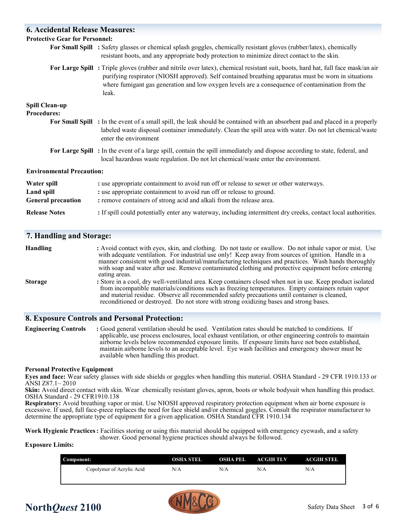# **6. Accidental Release Measures: Protective Gear for Personnel: For Small Spill :** Safety glasses or chemical splash goggles, chemically resistant gloves (rubber/latex), chemically resistant boots, and any appropriate body protection to minimize direct contact to the skin. **For Large Spill :** Triple gloves (rubber and nitrile over latex), chemical resistant suit, boots, hard hat, full face mask/an air purifying respirator (NIOSH approved). Self contained breathing apparatus must be worn in situations where fumigant gas generation and low oxygen levels are a consequence of contamination from the leak. **Spill Clean-up Procedures: For Small Spill :** In the event of a small spill, the leak should be contained with an absorbent pad and placed in a properly labeled waste disposal container immediately. Clean the spill area with water. Do not let chemical/waste enter the environment **For Large Spill :** In the event of a large spill, contain the spill immediately and dispose according to state, federal, and local hazardous waste regulation. Do not let chemical/waste enter the environment. **Environmental Precaution: Water spill : use appropriate containment to avoid run off or release to sewer or other waterways. Land spill**  $\cdot$  **<b>:** use appropriate containment to avoid run off or release to ground. **General precaution : remove containers of strong acid and alkali from the release area. Release Notes** : If spill could potentially enter any waterway, including intermittent dry creeks, contact local authorities.

## **7. Handling and Storage:**

| <b>Handling</b> | : Avoid contact with eyes, skin, and clothing. Do not taste or swallow. Do not inhale vapor or mist. Use<br>with adequate ventilation. For industrial use only! Keep away from sources of ignition. Handle in a<br>manner consistent with good industrial/manufacturing techniques and practices. Wash hands thoroughly<br>with soap and water after use. Remove contaminated clothing and protective equipment before entering<br>eating areas. |
|-----------------|--------------------------------------------------------------------------------------------------------------------------------------------------------------------------------------------------------------------------------------------------------------------------------------------------------------------------------------------------------------------------------------------------------------------------------------------------|
| <b>Storage</b>  | : Store in a cool, dry well-ventilated area. Keep containers closed when not in use. Keep product isolated<br>from incompatible materials/conditions such as freezing temperatures. Empty containers retain vapor<br>and material residue. Observe all recommended safety precautions until container is cleaned,<br>reconditioned or destroyed. Do not store with strong oxidizing bases and strong bases.                                      |

## **8. Exposure Controls and Personal Protection:**

**Engineering Controls :** Good general ventilation should be used. Ventilation rates should be matched to conditions. If applicable, use process enclosures, local exhaust ventilation, or other engineering controls to maintain airborne levels below recommended exposure limits. If exposure limits have not been established, maintain airborne levels to an acceptable level. Eye wash facilities and emergency shower must be available when handling this product.

#### **Personal Protective Equipment**

**Eyes and face:** Wear safety glasses with side shields or goggles when handling this material. OSHA Standard - 29 CFR 1910.133 or ANSI Z87.1– 2010

**Skin:** Avoid direct contact with skin. Wear chemically resistant gloves, apron, boots or whole bodysuit when handling this product. OSHA Standard - 29 CFR1910.138

**Respiratory:** Avoid breathing vapor or mist. Use NIOSH approved respiratory protection equipment when air borne exposure is excessive. If used, full face-piece replaces the need for face shield and/or chemical goggles. Consult the respirator manufacturer to determine the appropriate type of equipment for a given application. OSHA Standard CFR 1910.134

**Work Hygienic Practices:** Facilities storing or using this material should be equipped with emergency eyewash, and a safety shower. Good personal hygiene practices should always be followed.

#### **Exposure Limits:**

| Component:                | <b>OSHA STEL</b> | OSHA PEL | <b>ACGIH TLV</b> | ACCHH STEL |
|---------------------------|------------------|----------|------------------|------------|
| Copolymer of Acrylic Acid | N/A              | N/A      | N/A              | N/A        |



# **North***Quest* 2100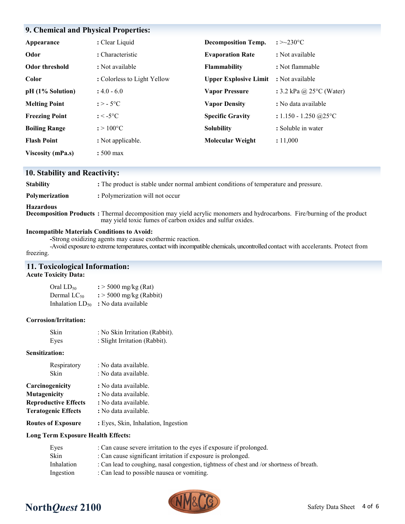| 9. Chemical and Physical Properties: |                             |                              |                                    |
|--------------------------------------|-----------------------------|------------------------------|------------------------------------|
| Appearance                           | : Clear Liquid              | <b>Decomposition Temp.</b>   | : $>230^{\circ}$ C                 |
| Odor                                 | : Characteristic            | <b>Evaporation Rate</b>      | : Not available                    |
| Odor threshold                       | : Not available             | <b>Flammability</b>          | : Not flammable                    |
| Color                                | : Colorless to Light Yellow | <b>Upper Explosive Limit</b> | : Not available                    |
| pH (1% Solution)                     | $: 4.0 - 6.0$               | <b>Vapor Pressure</b>        | : 3.2 kPa @ $25^{\circ}$ C (Water) |
| <b>Melting Point</b>                 | $: > -5$ °C                 | <b>Vapor Density</b>         | : No data available                |
| <b>Freezing Point</b>                | $: < -5$ °C                 | <b>Specific Gravity</b>      | : $1.150 - 1.250$ @ $25^{\circ}$ C |
| <b>Boiling Range</b>                 | $: > 100^{\circ}C$          | <b>Solubility</b>            | : Soluble in water                 |
| <b>Flash Point</b>                   | : Not applicable.           | <b>Molecular Weight</b>      | : 11,000                           |
| <b>Viscosity (mPa.s)</b>             | $:500 \text{ max}$          |                              |                                    |

# **10. Stability and Reactivity:**

| <b>Stability</b>      | : The product is stable under normal ambient conditions of temperature and pressure.                                                                                                        |
|-----------------------|---------------------------------------------------------------------------------------------------------------------------------------------------------------------------------------------|
| <b>Polymerization</b> | : Polymerization will not occur                                                                                                                                                             |
| Hazardous             | <b>Decomposition Products</b> : Thermal decomposition may yield acrylic monomers and hydrocarbons. Fire/burning of the product<br>may yield toxic fumes of carbon oxides and sulfur oxides. |

#### **Incompatible Materials Conditions to Avoid:**

**-**Strong oxidizing agents may cause exothermic reaction.

-Avoid exposure to extreme temperatures, contact with incompatible chemicals, uncontrolled contact with accelerants. Protect from freezing.

# **11. Toxicological Information:**

## **Acute Toxicity Data:**

| Oral $LD_{50}$          | $\frac{1}{2}$ > 5000 mg/kg (Rat)    |
|-------------------------|-------------------------------------|
| Dermal LC <sub>50</sub> | $\frac{1}{2}$ > 5000 mg/kg (Rabbit) |
| Inhalation $LD_{50}$    | : No data available                 |

#### **Corrosion/Irritation:**

| Skin | : No Skin Irritation (Rabbit). |
|------|--------------------------------|
| Eyes | : Slight Irritation (Rabbit).  |

#### **Sensitization:**

| Respiratory<br>Skin         | : No data available.<br>: No data available. |  |  |
|-----------------------------|----------------------------------------------|--|--|
| Carcinogenicity             | : No data available.                         |  |  |
| <b>Mutagenicity</b>         | : No data available.                         |  |  |
| <b>Reproductive Effects</b> | : No data available.                         |  |  |
| <b>Teratogenic Effects</b>  | : No data available.                         |  |  |
| <b>Routes of Exposure</b>   | : Eyes, Skin, Inhalation, Ingestion          |  |  |

## **Long Term Exposure Health Effects:**

| Eyes       | : Can cause severe irritation to the eyes if exposure if prolonged.                       |
|------------|-------------------------------------------------------------------------------------------|
| Skin       | : Can cause significant irritation if exposure is prolonged.                              |
| Inhalation | : Can lead to coughing, nasal congestion, tightness of chest and /or shortness of breath. |
| Ingestion  | : Can lead to possible nausea or vomiting.                                                |



# **North***Quest* 2100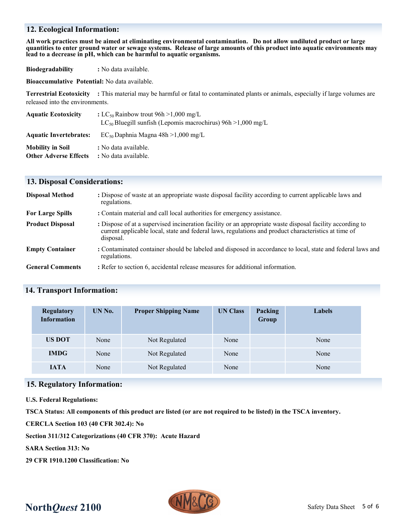## **12. Ecological Information:**

**All work practices must be aimed at eliminating environmental contamination. Do not allow undiluted product or large quantities to enter ground water or sewage systems. Release of large amounts of this product into aquatic environments may lead to a decrease in pH, which can be harmful to aquatic organisms.**

**Biodegradability :** No data available.

**Bioaccumulative Potential:** No data available.

**Terrestrial Ecotoxicity :** This material may be harmful or fatal to contaminated plants or animals, especially if large volumes are released into the environments.

| <b>Aquatic Ecotoxicity</b>    | : LC <sub>50</sub> Rainbow trout 96h > 1,000 mg/L                 |  |  |
|-------------------------------|-------------------------------------------------------------------|--|--|
|                               | $LC_{50}$ Bluegill sunfish (Lepomis macrochirus) 96h > 1,000 mg/L |  |  |
| <b>Aquatic Invertebrates:</b> | $EC_{50}$ Daphnia Magna 48h > 1,000 mg/L                          |  |  |
| <b>Mobility in Soil</b>       | : No data available.                                              |  |  |
| <b>Other Adverse Effects</b>  | : No data available.                                              |  |  |

## **13. Disposal Considerations:**

| <b>Disposal Method</b>  | : Dispose of waste at an appropriate waste disposal facility according to current applicable laws and<br>regulations.                                                                                                          |
|-------------------------|--------------------------------------------------------------------------------------------------------------------------------------------------------------------------------------------------------------------------------|
| <b>For Large Spills</b> | : Contain material and call local authorities for emergency assistance.                                                                                                                                                        |
| <b>Product Disposal</b> | : Dispose of at a supervised incineration facility or an appropriate waste disposal facility according to<br>current applicable local, state and federal laws, regulations and product characteristics at time of<br>disposal. |
| <b>Empty Container</b>  | : Contaminated container should be labeled and disposed in accordance to local, state and federal laws and<br>regulations.                                                                                                     |
| <b>General Comments</b> | : Refer to section 6, accidental release measures for additional information.                                                                                                                                                  |

## **14. Transport Information:**

| <b>Regulatory</b><br><b>Information</b> | UN No. | <b>Proper Shipping Name</b> | <b>UN Class</b><br>Packing<br>Group |  | <b>Labels</b> |
|-----------------------------------------|--------|-----------------------------|-------------------------------------|--|---------------|
| <b>US DOT</b>                           | None   | Not Regulated               | None                                |  | None          |
| <b>IMDG</b>                             | None   | Not Regulated               | None                                |  | None          |
| <b>JATA</b>                             | None   | Not Regulated               | None                                |  | None          |

## **15. Regulatory Information:**

**U.S. Federal Regulations:**

**TSCA Status: All components of this product are listed (or are not required to be listed) in the TSCA inventory.**

**CERCLA Section 103 (40 CFR 302.4): No**

**Section 311/312 Categorizations (40 CFR 370): Acute Hazard**

**SARA Section 313: No**

**29 CFR 1910.1200 Classification: No**